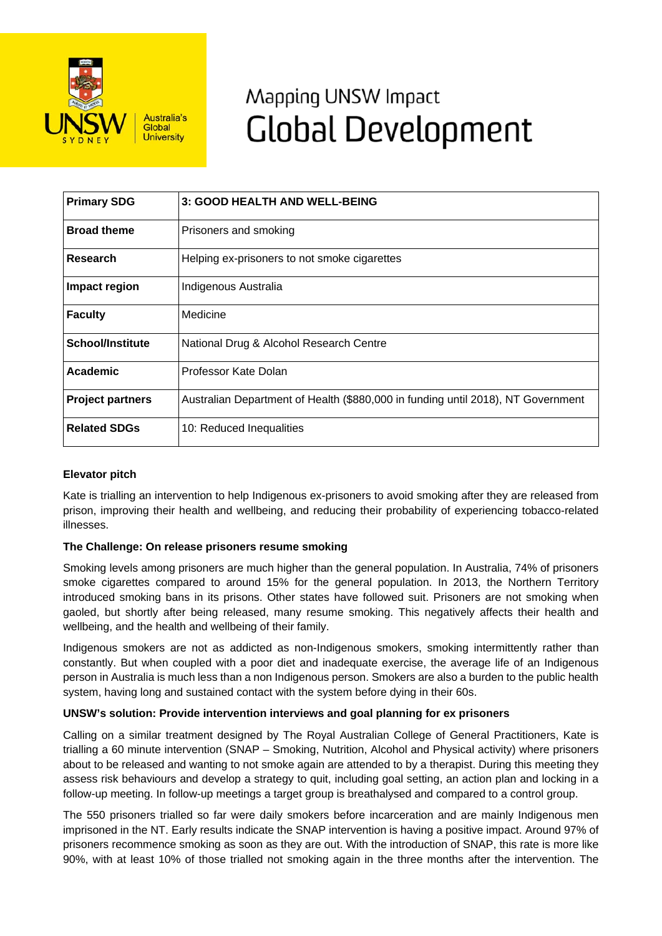

# Mapping UNSW Impact **Global Development**

| <b>Primary SDG</b>      | 3: GOOD HEALTH AND WELL-BEING                                                    |
|-------------------------|----------------------------------------------------------------------------------|
| <b>Broad theme</b>      | Prisoners and smoking                                                            |
| Research                | Helping ex-prisoners to not smoke cigarettes                                     |
| Impact region           | Indigenous Australia                                                             |
| <b>Faculty</b>          | Medicine                                                                         |
| <b>School/Institute</b> | National Drug & Alcohol Research Centre                                          |
| Academic                | Professor Kate Dolan                                                             |
| <b>Project partners</b> | Australian Department of Health (\$880,000 in funding until 2018), NT Government |
| <b>Related SDGs</b>     | 10: Reduced Inequalities                                                         |

## **Elevator pitch**

Kate is trialling an intervention to help Indigenous ex-prisoners to avoid smoking after they are released from prison, improving their health and wellbeing, and reducing their probability of experiencing tobacco-related illnesses.

## **The Challenge: On release prisoners resume smoking**

Smoking levels among prisoners are much higher than the general population. In Australia, 74% of prisoners smoke cigarettes compared to around 15% for the general population. In 2013, the Northern Territory introduced smoking bans in its prisons. Other states have followed suit. Prisoners are not smoking when gaoled, but shortly after being released, many resume smoking. This negatively affects their health and wellbeing, and the health and wellbeing of their family.

Indigenous smokers are not as addicted as non-Indigenous smokers, smoking intermittently rather than constantly. But when coupled with a poor diet and inadequate exercise, the average life of an Indigenous person in Australia is much less than a non Indigenous person. Smokers are also a burden to the public health system, having long and sustained contact with the system before dying in their 60s.

## **UNSW's solution: Provide intervention interviews and goal planning for ex prisoners**

Calling on a similar treatment designed by The Royal Australian College of General Practitioners, Kate is trialling a 60 minute intervention (SNAP – Smoking, Nutrition, Alcohol and Physical activity) where prisoners about to be released and wanting to not smoke again are attended to by a therapist. During this meeting they assess risk behaviours and develop a strategy to quit, including goal setting, an action plan and locking in a follow-up meeting. In follow-up meetings a target group is breathalysed and compared to a control group.

The 550 prisoners trialled so far were daily smokers before incarceration and are mainly Indigenous men imprisoned in the NT. Early results indicate the SNAP intervention is having a positive impact. Around 97% of prisoners recommence smoking as soon as they are out. With the introduction of SNAP, this rate is more like 90%, with at least 10% of those trialled not smoking again in the three months after the intervention. The